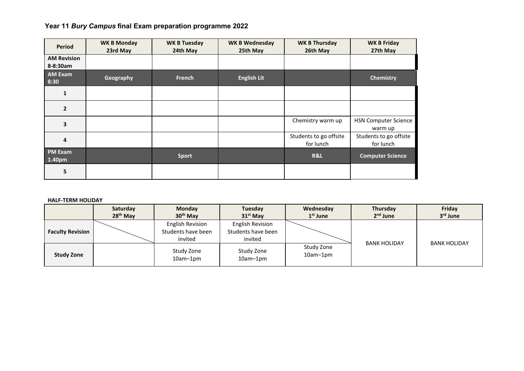## **Year 11** *Bury Campus* **final Exam preparation programme 2022**

| Period                         | <b>WK B Monday</b><br>23rd May | <b>WK B Tuesday</b><br>24th May | <b>WK B Wednesday</b><br>25th May | <b>WK B Thursday</b><br>26th May    | <b>WK B Friday</b><br>27th May         |
|--------------------------------|--------------------------------|---------------------------------|-----------------------------------|-------------------------------------|----------------------------------------|
| <b>AM Revision</b><br>8-8:30am |                                |                                 |                                   |                                     |                                        |
| <b>AM Exam</b><br>8:30         | Geography                      | French                          | <b>English Lit</b>                |                                     | <b>Chemistry</b>                       |
| 1                              |                                |                                 |                                   |                                     |                                        |
| $\overline{2}$                 |                                |                                 |                                   |                                     |                                        |
| 3                              |                                |                                 |                                   | Chemistry warm up                   | <b>HSN Computer Science</b><br>warm up |
| 4                              |                                |                                 |                                   | Students to go offsite<br>for lunch | Students to go offsite<br>for lunch    |
| <b>PM Exam</b><br>1.40pm       |                                | <b>Sport</b>                    |                                   | R&L                                 | <b>Computer Science</b>                |
| 5                              |                                |                                 |                                   |                                     |                                        |

## **HALF-TERM HOLIDAY**

|                         | Saturday<br>$28th$ May | <b>Monday</b><br>30 <sup>th</sup> May                    | Tuesday<br>$31st$ May                                    | Wednesday<br>$1st$ June  | Thursday<br>$2nd$ June | Friday<br>$3rd$ June |
|-------------------------|------------------------|----------------------------------------------------------|----------------------------------------------------------|--------------------------|------------------------|----------------------|
| <b>Faculty Revision</b> |                        | <b>English Revision</b><br>Students have been<br>invited | <b>English Revision</b><br>Students have been<br>invited |                          | <b>BANK HOLIDAY</b>    | <b>BANK HOLIDAY</b>  |
| <b>Study Zone</b>       |                        | Study Zone<br>$10am-1pm$                                 | Study Zone<br>$10am-1pm$                                 | Study Zone<br>$10am-1pm$ |                        |                      |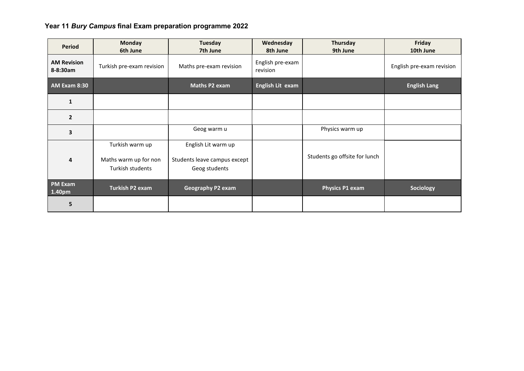## **Year 11** *Bury Campus* **final Exam preparation programme 2022**

| <b>Period</b>                  | <b>Monday</b><br>6th June                                    | Tuesday<br>7th June                                                  | Wednesday<br>8th June        | Thursday<br>9th June          | Friday<br>10th June       |
|--------------------------------|--------------------------------------------------------------|----------------------------------------------------------------------|------------------------------|-------------------------------|---------------------------|
| <b>AM Revision</b><br>8-8:30am | Turkish pre-exam revision                                    | Maths pre-exam revision                                              | English pre-exam<br>revision |                               | English pre-exam revision |
| <b>AM Exam 8:30</b>            |                                                              | Maths P2 exam                                                        | English Lit exam             |                               | <b>English Lang</b>       |
| $\mathbf{1}$                   |                                                              |                                                                      |                              |                               |                           |
| $\overline{2}$                 |                                                              |                                                                      |                              |                               |                           |
| $\overline{\mathbf{3}}$        |                                                              | Geog warm u                                                          |                              | Physics warm up               |                           |
| 4                              | Turkish warm up<br>Maths warm up for non<br>Turkish students | English Lit warm up<br>Students leave campus except<br>Geog students |                              | Students go offsite for lunch |                           |
| <b>PM Exam</b><br>1.40pm       | <b>Turkish P2 exam</b>                                       | <b>Geography P2 exam</b>                                             |                              | Physics P1 exam               | Sociology                 |
| 5                              |                                                              |                                                                      |                              |                               |                           |